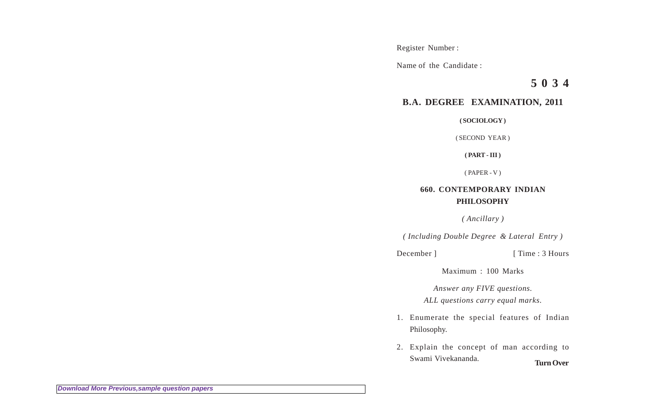Register Number :

Name of the Candidate :

**5 0 3 4**

## **B.A. DEGREE EXAMINATION, 2011**

**( SOCIOLOGY )**

( SECOND YEAR )

**( PART - III )**

( PAPER - V )

## **660. CONTEMPORARY INDIAN PHILOSOPHY**

*( Ancillary )*

*( Including Double Degree & Lateral Entry )*

December ] [ Time : 3 Hours

Maximum : 100 Marks

*Answer any FIVE questions. ALL questions carry equal marks.*

- 1. Enumerate the special features of Indian Philosophy.
- 2. Explain the concept of man according to Swami Vivekananda. **Turn Over**